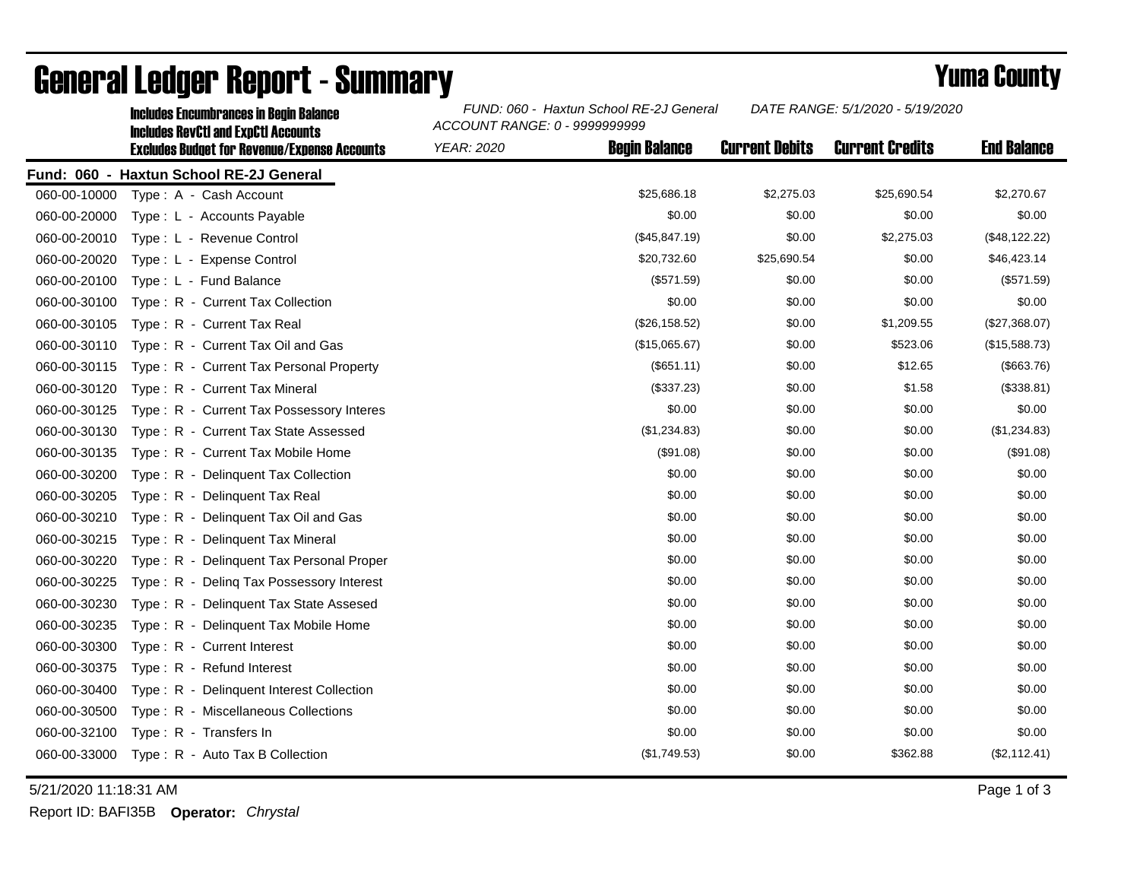|              | <b>Includes Encumbrances in Begin Balance</b><br><b>Includes RevCtI and ExpCtI Accounts</b><br><b>Excludes Budget for Revenue/Expense Accounts</b> | FUND: 060 - Haxtun School RE-2J General<br>ACCOUNT RANGE: 0 - 9999999999 |                      |                       | DATE RANGE: 5/1/2020 - 5/19/2020 |                    |
|--------------|----------------------------------------------------------------------------------------------------------------------------------------------------|--------------------------------------------------------------------------|----------------------|-----------------------|----------------------------------|--------------------|
|              |                                                                                                                                                    | <b>YEAR: 2020</b>                                                        | <b>Begin Balance</b> | <b>Current Debits</b> | <b>Current Credits</b>           | <b>End Balance</b> |
|              | Fund: 060 - Haxtun School RE-2J General                                                                                                            |                                                                          |                      |                       |                                  |                    |
| 060-00-10000 | Type: A - Cash Account                                                                                                                             |                                                                          | \$25,686.18          | \$2,275.03            | \$25,690.54                      | \$2,270.67         |
| 060-00-20000 | Type: L - Accounts Payable                                                                                                                         |                                                                          | \$0.00               | \$0.00                | \$0.00                           | \$0.00             |
| 060-00-20010 | Type: L - Revenue Control                                                                                                                          |                                                                          | (\$45,847.19)        | \$0.00                | \$2,275.03                       | (\$48,122.22)      |
| 060-00-20020 | Type: L - Expense Control                                                                                                                          |                                                                          | \$20,732.60          | \$25,690.54           | \$0.00                           | \$46,423.14        |
| 060-00-20100 | Type: L - Fund Balance                                                                                                                             |                                                                          | (\$571.59)           | \$0.00                | \$0.00                           | (\$571.59)         |
| 060-00-30100 | Type: R - Current Tax Collection                                                                                                                   |                                                                          | \$0.00               | \$0.00                | \$0.00                           | \$0.00             |
| 060-00-30105 | Type: R - Current Tax Real                                                                                                                         |                                                                          | (\$26,158.52)        | \$0.00                | \$1,209.55                       | (\$27,368.07)      |
| 060-00-30110 | Type: R - Current Tax Oil and Gas                                                                                                                  |                                                                          | (\$15,065.67)        | \$0.00                | \$523.06                         | (\$15,588.73)      |
| 060-00-30115 | Type: R - Current Tax Personal Property                                                                                                            |                                                                          | $($ \$651.11)        | \$0.00                | \$12.65                          | (\$663.76)         |
| 060-00-30120 | Type: R - Current Tax Mineral                                                                                                                      |                                                                          | (\$337.23)           | \$0.00                | \$1.58                           | (\$338.81)         |
| 060-00-30125 | Type: R - Current Tax Possessory Interes                                                                                                           |                                                                          | \$0.00               | \$0.00                | \$0.00                           | \$0.00             |
| 060-00-30130 | Type: R - Current Tax State Assessed                                                                                                               |                                                                          | (\$1,234.83)         | \$0.00                | \$0.00                           | (\$1,234.83)       |
| 060-00-30135 | Type: R - Current Tax Mobile Home                                                                                                                  |                                                                          | (\$91.08)            | \$0.00                | \$0.00                           | (\$91.08)          |
| 060-00-30200 | Type: R - Delinquent Tax Collection                                                                                                                |                                                                          | \$0.00               | \$0.00                | \$0.00                           | \$0.00             |
| 060-00-30205 | Type: R - Delinquent Tax Real                                                                                                                      |                                                                          | \$0.00               | \$0.00                | \$0.00                           | \$0.00             |
| 060-00-30210 | Type: R - Delinquent Tax Oil and Gas                                                                                                               |                                                                          | \$0.00               | \$0.00                | \$0.00                           | \$0.00             |
| 060-00-30215 | Type: R - Delinquent Tax Mineral                                                                                                                   |                                                                          | \$0.00               | \$0.00                | \$0.00                           | \$0.00             |
| 060-00-30220 | Type: R - Delinguent Tax Personal Proper                                                                                                           |                                                                          | \$0.00               | \$0.00                | \$0.00                           | \$0.00             |
| 060-00-30225 | Type: R - Deling Tax Possessory Interest                                                                                                           |                                                                          | \$0.00               | \$0.00                | \$0.00                           | \$0.00             |
| 060-00-30230 | Type: R - Delinguent Tax State Assesed                                                                                                             |                                                                          | \$0.00               | \$0.00                | \$0.00                           | \$0.00             |
| 060-00-30235 | Type: R - Delinquent Tax Mobile Home                                                                                                               |                                                                          | \$0.00               | \$0.00                | \$0.00                           | \$0.00             |
| 060-00-30300 | Type: R - Current Interest                                                                                                                         |                                                                          | \$0.00               | \$0.00                | \$0.00                           | \$0.00             |
| 060-00-30375 | Type: R - Refund Interest                                                                                                                          |                                                                          | \$0.00               | \$0.00                | \$0.00                           | \$0.00             |
| 060-00-30400 | Type: R - Delinquent Interest Collection                                                                                                           |                                                                          | \$0.00               | \$0.00                | \$0.00                           | \$0.00             |
| 060-00-30500 | Type: R - Miscellaneous Collections                                                                                                                |                                                                          | \$0.00               | \$0.00                | \$0.00                           | \$0.00             |
| 060-00-32100 | Type: R - Transfers In                                                                                                                             |                                                                          | \$0.00               | \$0.00                | \$0.00                           | \$0.00             |
| 060-00-33000 | Type: R - Auto Tax B Collection                                                                                                                    |                                                                          | (\$1,749.53)         | \$0.00                | \$362.88                         | (\$2,112.41)       |

## General Ledger Report - Summary **Example 2018** Yuma County

5/21/2020 11:18:31 AM Page 1 of 3

Report ID: BAFI35B **Operator:** *Chrystal*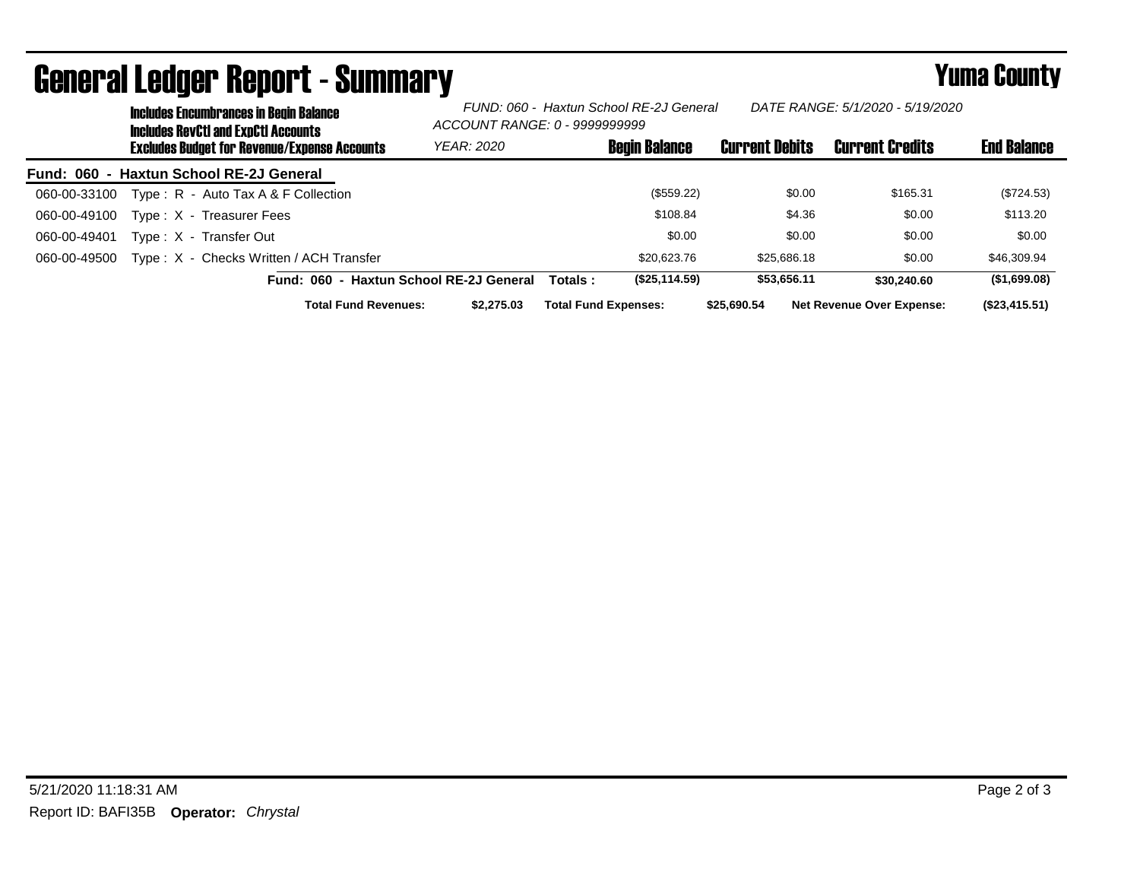| <b>Includes Encumbrances in Begin Balance</b><br><b>Includes RevCtI and ExpCtI Accounts</b> | DATE RANGE: 5/1/2020 - 5/19/2020<br>FUND: 060 - Haxtun School RE-2J General<br>ACCOUNT RANGE: 0 - 99999999999 |                             |                      |                       |                                  |                    |
|---------------------------------------------------------------------------------------------|---------------------------------------------------------------------------------------------------------------|-----------------------------|----------------------|-----------------------|----------------------------------|--------------------|
| <b>Excludes Budget for Revenue/Expense Accounts</b>                                         | <b>YEAR: 2020</b>                                                                                             |                             | <b>Begin Balance</b> | <b>Current Debits</b> | <b>Current Credits</b>           | <b>End Balance</b> |
| Fund: 060 - Haxtun School RE-2J General                                                     |                                                                                                               |                             |                      |                       |                                  |                    |
| Type: $R -$ Auto Tax A & F Collection<br>060-00-33100                                       |                                                                                                               |                             | (\$559.22)           | \$0.00                | \$165.31                         | (\$724.53)         |
| 060-00-49100<br>Type: X - Treasurer Fees                                                    |                                                                                                               |                             | \$108.84             | \$4.36                | \$0.00                           | \$113.20           |
| 060-00-49401<br>Type: X - Transfer Out                                                      |                                                                                                               |                             | \$0.00               | \$0.00                | \$0.00                           | \$0.00             |
| Type: X - Checks Written / ACH Transfer<br>060-00-49500                                     |                                                                                                               |                             | \$20,623.76          | \$25,686.18           | \$0.00                           | \$46,309.94        |
| Fund: 060 - Haxtun School RE-2J General                                                     |                                                                                                               | Totals :                    | (\$25,114.59)        | \$53.656.11           | \$30,240.60                      | (\$1,699.08)       |
| <b>Total Fund Revenues:</b>                                                                 | \$2,275.03                                                                                                    | <b>Total Fund Expenses:</b> |                      | \$25.690.54           | <b>Net Revenue Over Expense:</b> | (\$23,415.51)      |

## General Ledger Report - Summary **Example 2018** Yuma County